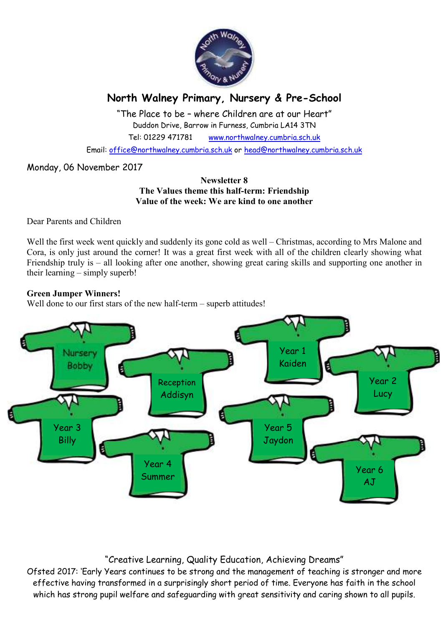

# **North Walney Primary, Nursery & Pre-School**

"The Place to be – where Children are at our Heart" Duddon Drive, Barrow in Furness, Cumbria LA14 3TN Tel: 01229 471781 www.northwalney.cumbria.sch.uk

Email: office@northwalney.cumbria.sch.uk or head@northwalney.cumbria.sch.uk

## Monday, 06 November 2017

#### **Newsletter 8 The Values theme this half-term: Friendship Value of the week: We are kind to one another**

Dear Parents and Children

Well the first week went quickly and suddenly its gone cold as well – Christmas, according to Mrs Malone and Cora, is only just around the corner! It was a great first week with all of the children clearly showing what Friendship truly is – all looking after one another, showing great caring skills and supporting one another in their learning – simply superb!

#### **Green Jumper Winners!**

Well done to our first stars of the new half-term – superb attitudes!



# "Creative Learning, Quality Education, Achieving Dreams"

Ofsted 2017: 'Early Years continues to be strong and the management of teaching is stronger and more effective having transformed in a surprisingly short period of time. Everyone has faith in the school which has strong pupil welfare and safeguarding with great sensitivity and caring shown to all pupils.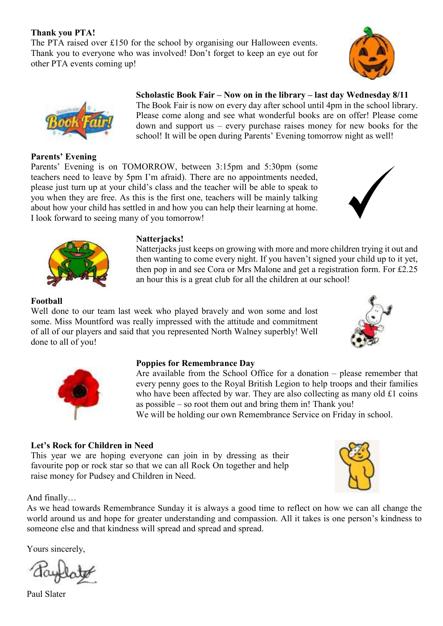## **Thank you PTA!**

The PTA raised over £150 for the school by organising our Halloween events. Thank you to everyone who was involved! Don't forget to keep an eye out for other PTA events coming up!

# **Scholastic Book Fair – Now on in the library – last day Wednesday 8/11**  The Book Fair is now on every day after school until 4pm in the school library.

Please come along and see what wonderful books are on offer! Please come down and support us – every purchase raises money for new books for the school! It will be open during Parents' Evening tomorrow night as well!

**Parents' Evening** 

Parents' Evening is on TOMORROW, between 3:15pm and 5:30pm (some teachers need to leave by 5pm I'm afraid). There are no appointments needed, please just turn up at your child's class and the teacher will be able to speak to you when they are free. As this is the first one, teachers will be mainly talking about how your child has settled in and how you can help their learning at home. I look forward to seeing many of you tomorrow!

### **Natterjacks!**

Natterjacks just keeps on growing with more and more children trying it out and then wanting to come every night. If you haven't signed your child up to it yet, then pop in and see Cora or Mrs Malone and get a registration form. For £2.25 an hour this is a great club for all the children at our school!

#### **Football**

Well done to our team last week who played bravely and won some and lost some. Miss Mountford was really impressed with the attitude and commitment of all of our players and said that you represented North Walney superbly! Well done to all of you!

#### **Poppies for Remembrance Day**

Are available from the School Office for a donation – please remember that every penny goes to the Royal British Legion to help troops and their families who have been affected by war. They are also collecting as many old £1 coins as possible – so root them out and bring them in! Thank you!

We will be holding our own Remembrance Service on Friday in school.

## **Let's Rock for Children in Need**

This year we are hoping everyone can join in by dressing as their favourite pop or rock star so that we can all Rock On together and help raise money for Pudsey and Children in Need.

And finally…

As we head towards Remembrance Sunday it is always a good time to reflect on how we can all change the world around us and hope for greater understanding and compassion. All it takes is one person's kindness to someone else and that kindness will spread and spread and spread.

Yours sincerely,

Paul Slater